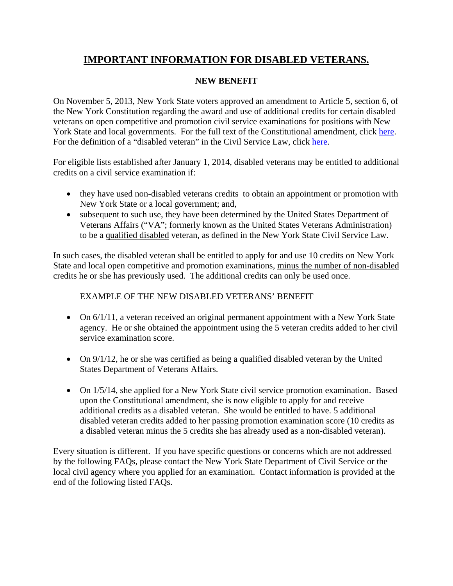## **IMPORTANT INFORMATION FOR DISABLED VETERANS.**

## **NEW BENEFIT**

On November 5, 2013, New York State voters approved an amendment to Article 5, section 6, of the New York Constitution regarding the award and use of additional credits for certain disabled veterans on open competitive and promotion civil service examinations for positions with New York State and local governments. For the full text of the Constitutional amendment, click [here.](http://www.elections.ny.gov/NYSBOE/Elections/2013/Proposals/ProposalTwoFinal.pdf) For the definition of a "disabled veteran" in the Civil Service Law, click [here.](http://public.leginfo.state.ny.us/LAWSSEAF.cgi?QUERYTYPE=LAWS+&QUERYDATA=$$CVS85$$@TXCVS085+&LIST=SEA3+&BROWSER=EXPLORER+&TOKEN=05065561+&TARGET=VIEW)

For eligible lists established after January 1, 2014, disabled veterans may be entitled to additional credits on a civil service examination if:

- they have used non-disabled veterans credits to obtain an appointment or promotion with New York State or a local government; and,
- subsequent to such use, they have been determined by the United States Department of Veterans Affairs ("VA"; formerly known as the United States Veterans Administration) to be a qualified disabled veteran, as defined in the New York State Civil Service Law.

In such cases, the disabled veteran shall be entitled to apply for and use 10 credits on New York State and local open competitive and promotion examinations, minus the number of non-disabled credits he or she has previously used. The additional credits can only be used once.

## EXAMPLE OF THE NEW DISABLED VETERANS' BENEFIT

- On  $6/1/11$ , a veteran received an original permanent appointment with a New York State agency. He or she obtained the appointment using the 5 veteran credits added to her civil service examination score.
- On  $9/1/12$ , he or she was certified as being a qualified disabled veteran by the United States Department of Veterans Affairs.
- On 1/5/14, she applied for a New York State civil service promotion examination. Based upon the Constitutional amendment, she is now eligible to apply for and receive additional credits as a disabled veteran. She would be entitled to have. 5 additional disabled veteran credits added to her passing promotion examination score (10 credits as a disabled veteran minus the 5 credits she has already used as a non-disabled veteran).

Every situation is different. If you have specific questions or concerns which are not addressed by the following FAQs, please contact the New York State Department of Civil Service or the local civil agency where you applied for an examination. Contact information is provided at the end of the following listed FAQs.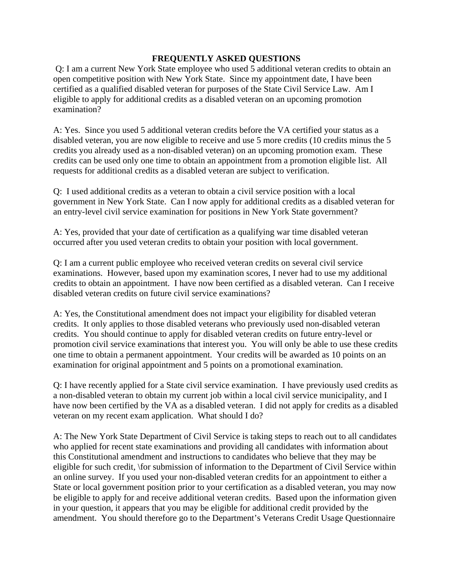## **FREQUENTLY ASKED QUESTIONS**

 Q: I am a current New York State employee who used 5 additional veteran credits to obtain an open competitive position with New York State. Since my appointment date, I have been certified as a qualified disabled veteran for purposes of the State Civil Service Law. Am I eligible to apply for additional credits as a disabled veteran on an upcoming promotion examination?

A: Yes. Since you used 5 additional veteran credits before the VA certified your status as a disabled veteran, you are now eligible to receive and use 5 more credits (10 credits minus the 5 credits you already used as a non-disabled veteran) on an upcoming promotion exam. These credits can be used only one time to obtain an appointment from a promotion eligible list. All requests for additional credits as a disabled veteran are subject to verification.

Q: I used additional credits as a veteran to obtain a civil service position with a local government in New York State. Can I now apply for additional credits as a disabled veteran for an entry-level civil service examination for positions in New York State government?

A: Yes, provided that your date of certification as a qualifying war time disabled veteran occurred after you used veteran credits to obtain your position with local government.

Q: I am a current public employee who received veteran credits on several civil service examinations. However, based upon my examination scores, I never had to use my additional credits to obtain an appointment. I have now been certified as a disabled veteran. Can I receive disabled veteran credits on future civil service examinations?

A: Yes, the Constitutional amendment does not impact your eligibility for disabled veteran credits. It only applies to those disabled veterans who previously used non-disabled veteran credits. You should continue to apply for disabled veteran credits on future entry-level or promotion civil service examinations that interest you. You will only be able to use these credits one time to obtain a permanent appointment. Your credits will be awarded as 10 points on an examination for original appointment and 5 points on a promotional examination.

Q: I have recently applied for a State civil service examination. I have previously used credits as a non-disabled veteran to obtain my current job within a local civil service municipality, and I have now been certified by the VA as a disabled veteran. I did not apply for credits as a disabled veteran on my recent exam application. What should I do?

A: The New York State Department of Civil Service is taking steps to reach out to all candidates who applied for recent state examinations and providing all candidates with information about this Constitutional amendment and instructions to candidates who believe that they may be eligible for such credit, \for submission of information to the Department of Civil Service within an online survey. If you used your non-disabled veteran credits for an appointment to either a State or local government position prior to your certification as a disabled veteran, you may now be eligible to apply for and receive additional veteran credits. Based upon the information given in your question, it appears that you may be eligible for additional credit provided by the amendment. You should therefore go to the Department's Veterans Credit Usage Questionnaire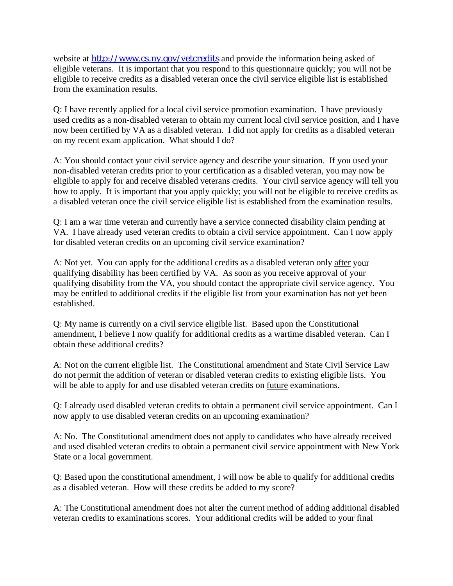website at [http://www.cs.ny.gov/vetcredits](http://www.cs.ny.gov/vetcredits/#instruction) and provide the information being asked of eligible veterans. It is important that you respond to this questionnaire quickly; you will not be eligible to receive credits as a disabled veteran once the civil service eligible list is established from the examination results.

Q: I have recently applied for a local civil service promotion examination. I have previously used credits as a non-disabled veteran to obtain my current local civil service position, and I have now been certified by VA as a disabled veteran. I did not apply for credits as a disabled veteran on my recent exam application. What should I do?

A: You should contact your civil service agency and describe your situation. If you used your non-disabled veteran credits prior to your certification as a disabled veteran, you may now be eligible to apply for and receive disabled veterans credits. Your civil service agency will tell you how to apply. It is important that you apply quickly; you will not be eligible to receive credits as a disabled veteran once the civil service eligible list is established from the examination results.

Q: I am a war time veteran and currently have a service connected disability claim pending at VA. I have already used veteran credits to obtain a civil service appointment. Can I now apply for disabled veteran credits on an upcoming civil service examination?

A: Not yet. You can apply for the additional credits as a disabled veteran only after your qualifying disability has been certified by VA. As soon as you receive approval of your qualifying disability from the VA, you should contact the appropriate civil service agency. You may be entitled to additional credits if the eligible list from your examination has not yet been established.

Q: My name is currently on a civil service eligible list. Based upon the Constitutional amendment, I believe I now qualify for additional credits as a wartime disabled veteran. Can I obtain these additional credits?

A: Not on the current eligible list. The Constitutional amendment and State Civil Service Law do not permit the addition of veteran or disabled veteran credits to existing eligible lists. You will be able to apply for and use disabled veteran credits on future examinations.

Q: I already used disabled veteran credits to obtain a permanent civil service appointment. Can I now apply to use disabled veteran credits on an upcoming examination?

A: No. The Constitutional amendment does not apply to candidates who have already received and used disabled veteran credits to obtain a permanent civil service appointment with New York State or a local government.

Q: Based upon the constitutional amendment, I will now be able to qualify for additional credits as a disabled veteran. How will these credits be added to my score?

A: The Constitutional amendment does not alter the current method of adding additional disabled veteran credits to examinations scores. Your additional credits will be added to your final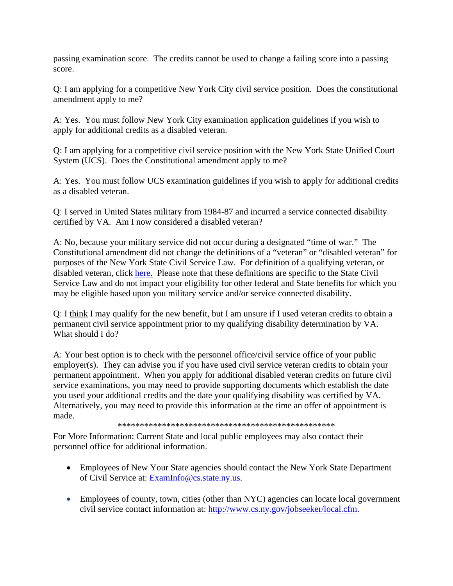passing examination score. The credits cannot be used to change a failing score into a passing score.

Q: I am applying for a competitive New York City civil service position. Does the constitutional amendment apply to me?

A: Yes. You must follow New York City examination application guidelines if you wish to apply for additional credits as a disabled veteran.

Q: I am applying for a competitive civil service position with the New York State Unified Court System (UCS). Does the Constitutional amendment apply to me?

A: Yes. You must follow UCS examination guidelines if you wish to apply for additional credits as a disabled veteran.

Q: I served in United States military from 1984-87 and incurred a service connected disability certified by VA. Am I now considered a disabled veteran?

A: No, because your military service did not occur during a designated "time of war." The Constitutional amendment did not change the definitions of a "veteran" or "disabled veteran" for purposes of the New York State Civil Service Law. For definition of a qualifying veteran, or disabled veteran, click [here](http://public.leginfo.state.ny.us/LAWSSEAF.cgi?QUERYTYPE=LAWS+&QUERYDATA=$$CVS85$$@TXCVS085+&LIST=SEA3+&BROWSER=EXPLORER+&TOKEN=05065561+&TARGET=VIEW). Please note that these definitions are specific to the State Civil Service Law and do not impact your eligibility for other federal and State benefits for which you may be eligible based upon you military service and/or service connected disability.

Q: I think I may qualify for the new benefit, but I am unsure if I used veteran credits to obtain a permanent civil service appointment prior to my qualifying disability determination by VA. What should I do?

A: Your best option is to check with the personnel office/civil service office of your public employer(s). They can advise you if you have used civil service veteran credits to obtain your permanent appointment. When you apply for additional disabled veteran credits on future civil service examinations, you may need to provide supporting documents which establish the date you used your additional credits and the date your qualifying disability was certified by VA. Alternatively, you may need to provide this information at the time an offer of appointment is made.

\*\*\*\*\*\*\*\*\*\*\*\*\*\*\*\*\*\*\*\*\*\*\*\*\*\*\*\*\*\*\*\*\*\*\*\*\*\*\*\*\*\*\*\*\*\*\*\*\*

For More Information: Current State and local public employees may also contact their personnel office for additional information.

- Employees of New Your State agencies should contact the New York State Department of Civil Service at: [ExamInfo@cs.state.ny.us.](mailto:ExamInfo@cs.state.ny.us)
- Employees of county, town, cities (other than NYC) agencies can locate local government civil service contact information at: [http://www.cs.ny.gov/jobseeker/local.cfm.](http://www.cs.ny.gov/jobseeker/local.cfm)